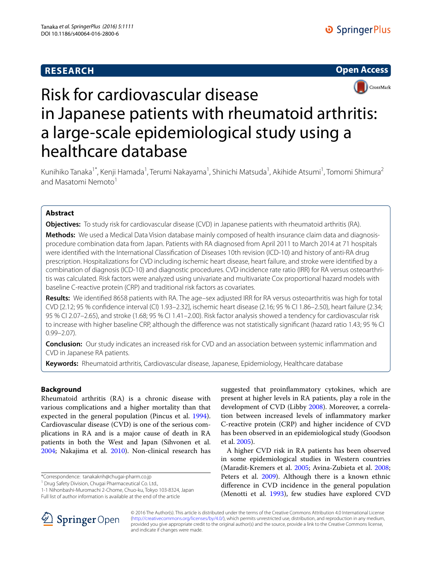# **RESEARCH**





# Risk for cardiovascular disease in Japanese patients with rheumatoid arthritis: a large-scale epidemiological study using a healthcare database

Kunihiko Tanaka<sup>1\*</sup>, Kenji Hamada<sup>1</sup>, Terumi Nakayama<sup>1</sup>, Shinichi Matsuda<sup>1</sup>, Akihide Atsumi<sup>1</sup>, Tomomi Shimura<sup>2</sup> and Masatomi Nemoto<sup>1</sup>

# **Abstract**

**Objectives:** To study risk for cardiovascular disease (CVD) in Japanese patients with rheumatoid arthritis (RA).

**Methods:** We used a Medical Data Vision database mainly composed of health insurance claim data and diagnosisprocedure combination data from Japan. Patients with RA diagnosed from April 2011 to March 2014 at 71 hospitals were identified with the International Classification of Diseases 10th revision (ICD-10) and history of anti-RA drug prescription. Hospitalizations for CVD including ischemic heart disease, heart failure, and stroke were identified by a combination of diagnosis (ICD-10) and diagnostic procedures. CVD incidence rate ratio (IRR) for RA versus osteoarthritis was calculated. Risk factors were analyzed using univariate and multivariate Cox proportional hazard models with baseline C-reactive protein (CRP) and traditional risk factors as covariates.

**Results:** We identified 8658 patients with RA. The age–sex adjusted IRR for RA versus osteoarthritis was high for total CVD [2.12; 95 % confidence interval (CI) 1.93–2.32], ischemic heart disease (2.16; 95 % CI 1.86–2.50), heart failure (2.34; 95 % CI 2.07–2.65), and stroke (1.68; 95 % CI 1.41–2.00). Risk factor analysis showed a tendency for cardiovascular risk to increase with higher baseline CRP, although the difference was not statistically significant (hazard ratio 1.43; 95 % CI 0.99–2.07).

**Conclusion:** Our study indicates an increased risk for CVD and an association between systemic inflammation and CVD in Japanese RA patients.

**Keywords:** Rheumatoid arthritis, Cardiovascular disease, Japanese, Epidemiology, Healthcare database

## **Background**

Rheumatoid arthritis (RA) is a chronic disease with various complications and a higher mortality than that expected in the general population (Pincus et al. [1994](#page-4-0)). Cardiovascular disease (CVD) is one of the serious complications in RA and is a major cause of death in RA patients in both the West and Japan (Sihvonen et al. [2004](#page-4-1); Nakajima et al. [2010](#page-4-2)). Non-clinical research has

\*Correspondence: tanakaknh@chugai-pharm.co.jp 1

<sup>1</sup> Drug Safety Division, Chugai Pharmaceutical Co. Ltd.,

1-1 Nihonbashi-Muromachi 2-Chome, Chuo-ku, Tokyo 103-8324, Japan Full list of author information is available at the end of the article

suggested that proinflammatory cytokines, which are present at higher levels in RA patients, play a role in the development of CVD (Libby [2008](#page-4-3)). Moreover, a correlation between increased levels of inflammatory marker C-reactive protein (CRP) and higher incidence of CVD has been observed in an epidemiological study (Goodson et al. [2005](#page-4-4)).

A higher CVD risk in RA patients has been observed in some epidemiological studies in Western countries (Maradit-Kremers et al. [2005;](#page-4-5) Avina-Zubieta et al. [2008](#page-4-6); Peters et al. [2009\)](#page-4-7). Although there is a known ethnic difference in CVD incidence in the general population (Menotti et al. [1993\)](#page-4-8), few studies have explored CVD



© 2016 The Author(s). This article is distributed under the terms of the Creative Commons Attribution 4.0 International License [\(http://creativecommons.org/licenses/by/4.0/\)](http://creativecommons.org/licenses/by/4.0/), which permits unrestricted use, distribution, and reproduction in any medium, provided you give appropriate credit to the original author(s) and the source, provide a link to the Creative Commons license, and indicate if changes were made.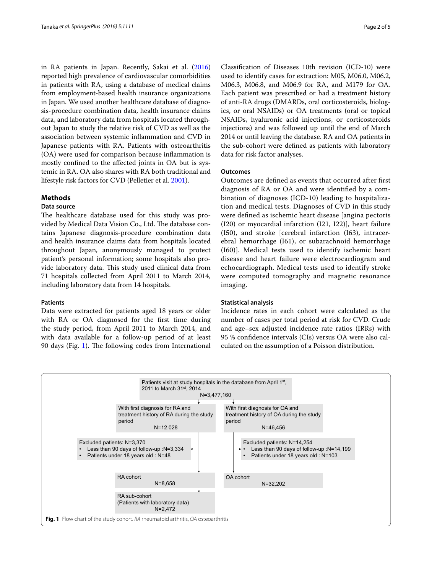in RA patients in Japan. Recently, Sakai et al. ([2016](#page-4-9)) reported high prevalence of cardiovascular comorbidities in patients with RA, using a database of medical claims from employment-based health insurance organizations in Japan. We used another healthcare database of diagnosis-procedure combination data, health insurance claims data, and laboratory data from hospitals located throughout Japan to study the relative risk of CVD as well as the association between systemic inflammation and CVD in Japanese patients with RA. Patients with osteoarthritis (OA) were used for comparison because inflammation is mostly confined to the affected joints in OA but is systemic in RA. OA also shares with RA both traditional and lifestyle risk factors for CVD (Pelletier et al. [2001\)](#page-4-10).

#### **Methods**

### **Data source**

The healthcare database used for this study was provided by Medical Data Vision Co., Ltd. The database contains Japanese diagnosis-procedure combination data and health insurance claims data from hospitals located throughout Japan, anonymously managed to protect patient's personal information; some hospitals also provide laboratory data. This study used clinical data from 71 hospitals collected from April 2011 to March 2014, including laboratory data from 14 hospitals.

#### **Patients**

Data were extracted for patients aged 18 years or older with RA or OA diagnosed for the first time during the study period, from April 2011 to March 2014, and with data available for a follow-up period of at least 90 days (Fig. [1\)](#page-1-0). The following codes from International

Classification of Diseases 10th revision (ICD-10) were used to identify cases for extraction: M05, M06.0, M06.2, M06.3, M06.8, and M06.9 for RA, and M179 for OA. Each patient was prescribed or had a treatment history of anti-RA drugs (DMARDs, oral corticosteroids, biologics, or oral NSAIDs) or OA treatments (oral or topical NSAIDs, hyaluronic acid injections, or corticosteroids injections) and was followed up until the end of March 2014 or until leaving the database. RA and OA patients in the sub-cohort were defined as patients with laboratory data for risk factor analyses.

#### **Outcomes**

Outcomes are defined as events that occurred after first diagnosis of RA or OA and were identified by a combination of diagnoses (ICD-10) leading to hospitalization and medical tests. Diagnoses of CVD in this study were defined as ischemic heart disease [angina pectoris (I20) or myocardial infarction (I21, I22)], heart failure (I50), and stroke [cerebral infarction (I63), intracerebral hemorrhage (I61), or subarachnoid hemorrhage (I60)]. Medical tests used to identify ischemic heart disease and heart failure were electrocardiogram and echocardiograph. Medical tests used to identify stroke were computed tomography and magnetic resonance imaging.

#### **Statistical analysis**

Incidence rates in each cohort were calculated as the number of cases per total period at risk for CVD. Crude and age–sex adjusted incidence rate ratios (IRRs) with 95 % confidence intervals (CIs) versus OA were also calculated on the assumption of a Poisson distribution.

<span id="page-1-0"></span>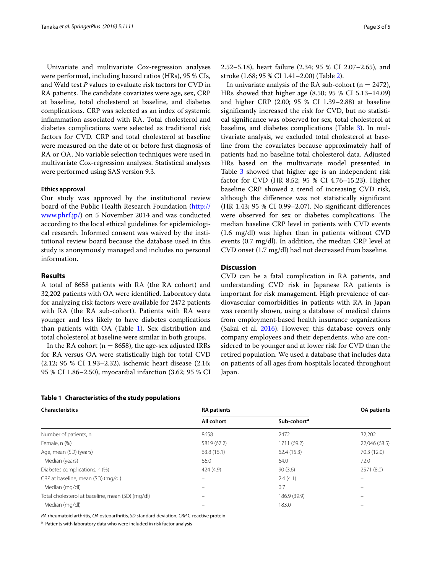Univariate and multivariate Cox-regression analyses were performed, including hazard ratios (HRs), 95 % CIs, and Wald test *P* values to evaluate risk factors for CVD in RA patients. The candidate covariates were age, sex, CRP at baseline, total cholesterol at baseline, and diabetes complications. CRP was selected as an index of systemic inflammation associated with RA. Total cholesterol and diabetes complications were selected as traditional risk factors for CVD. CRP and total cholesterol at baseline were measured on the date of or before first diagnosis of RA or OA. No variable selection techniques were used in multivariate Cox-regression analyses. Statistical analyses were performed using SAS version 9.3.

#### **Ethics approval**

Our study was approved by the institutional review board of the Public Health Research Foundation [\(http://](http://www.phrf.jp/) [www.phrf.jp/\)](http://www.phrf.jp/) on 5 November 2014 and was conducted according to the local ethical guidelines for epidemiological research. Informed consent was waived by the institutional review board because the database used in this study is anonymously managed and includes no personal information.

#### **Results**

A total of 8658 patients with RA (the RA cohort) and 32,202 patients with OA were identified. Laboratory data for analyzing risk factors were available for 2472 patients with RA (the RA sub-cohort). Patients with RA were younger and less likely to have diabetes complications than patients with OA (Table [1\)](#page-2-0). Sex distribution and total cholesterol at baseline were similar in both groups.

In the RA cohort ( $n = 8658$ ), the age-sex adjusted IRRs for RA versus OA were statistically high for total CVD (2.12; 95 % CI 1.93–2.32), ischemic heart disease (2.16; 95 % CI 1.86–2.50), myocardial infarction (3.62; 95 % CI

<span id="page-2-0"></span>

2.52–5.18), heart failure (2.34; 95 % CI 2.07–2.65), and stroke (1.68; 95 % CI 1.41–2.00) (Table [2\)](#page-3-0).

In univariate analysis of the RA sub-cohort ( $n = 2472$ ), HRs showed that higher age (8.50; 95 % CI 5.13–14.09) and higher CRP (2.00; 95 % CI 1.39–2.88) at baseline significantly increased the risk for CVD, but no statistical significance was observed for sex, total cholesterol at baseline, and diabetes complications (Table [3\)](#page-3-1). In multivariate analysis, we excluded total cholesterol at baseline from the covariates because approximately half of patients had no baseline total cholesterol data. Adjusted HRs based on the multivariate model presented in Table [3](#page-3-1) showed that higher age is an independent risk factor for CVD (HR 8.52; 95 % CI 4.76–15.23). Higher baseline CRP showed a trend of increasing CVD risk, although the difference was not statistically significant (HR 1.43; 95 % CI 0.99–2.07). No significant differences were observed for sex or diabetes complications. The median baseline CRP level in patients with CVD events (1.6 mg/dl) was higher than in patients without CVD events (0.7 mg/dl). In addition, the median CRP level at CVD onset (1.7 mg/dl) had not decreased from baseline.

#### **Discussion**

CVD can be a fatal complication in RA patients, and understanding CVD risk in Japanese RA patients is important for risk management. High prevalence of cardiovascular comorbidities in patients with RA in Japan was recently shown, using a database of medical claims from employment-based health insurance organizations (Sakai et al. [2016](#page-4-9)). However, this database covers only company employees and their dependents, who are considered to be younger and at lower risk for CVD than the retired population. We used a database that includes data on patients of all ages from hospitals located throughout Japan.

| <b>Characteristics</b>                           | <b>RA</b> patients       | <b>OA</b> patients      |               |
|--------------------------------------------------|--------------------------|-------------------------|---------------|
|                                                  | All cohort               | Sub-cohort <sup>a</sup> |               |
| Number of patients, n                            | 8658                     | 2472                    | 32,202        |
| Female, n (%)                                    | 5819 (67.2)              | 1711 (69.2)             | 22,046 (68.5) |
| Age, mean (SD) (years)                           | 63.8(15.1)               | 62.4(15.3)              | 70.3 (12.0)   |
| Median (years)                                   | 66.0                     | 64.0                    | 72.0          |
| Diabetes complications, n (%)                    | 424 (4.9)                | 90(3.6)                 | 2571 (8.0)    |
| CRP at baseline, mean (SD) (mg/dl)               | $\overline{\phantom{0}}$ | 2.4(4.1)                |               |
| Median (mg/dl)                                   |                          | 0.7                     |               |
| Total cholesterol at baseline, mean (SD) (mg/dl) |                          | 186.9 (39.9)            |               |
| Median (mg/dl)                                   |                          | 183.0                   |               |

*RA* rheumatoid arthritis, *OA* osteoarthritis, *SD* standard deviation, *CRP* C-reactive protein

<sup>a</sup> Patients with laboratory data who were included in risk factor analysis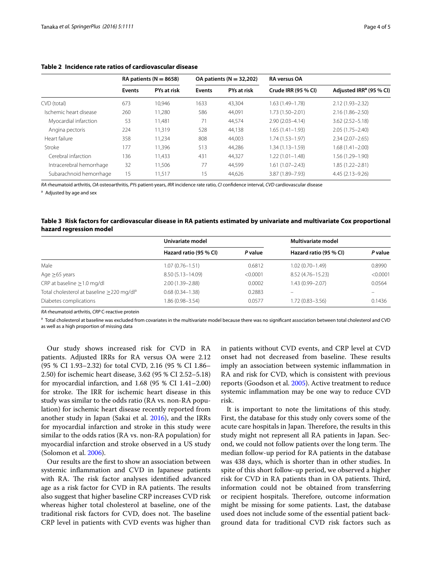|                          | RA patients ( $N = 8658$ ) |             | OA patients ( $N = 32,202$ ) |             | <b>RA</b> versus OA |                                     |
|--------------------------|----------------------------|-------------|------------------------------|-------------|---------------------|-------------------------------------|
|                          | <b>Events</b>              | PYs at risk | <b>Events</b>                | PYs at risk | Crude IRR (95 % CI) | Adjusted IRR <sup>a</sup> (95 % CI) |
| CVD (total)              | 673                        | 10,946      | 1633                         | 43.304      | 1.63 (1.49–1.78)    | $2.12(1.93 - 2.32)$                 |
| Ischemic heart disease   | 260                        | 11,280      | 586                          | 44,091      | 1.73 (1.50-2.01)    | $2.16(1.86 - 2.50)$                 |
| Myocardial infarction    | 53                         | 11,481      | 71                           | 44.574      | $2.90(2.03 - 4.14)$ | $3.62(2.52 - 5.18)$                 |
| Angina pectoris          | 224                        | 11,319      | 528                          | 44,138      | $1.65(1.41 - 1.93)$ | $2.05(1.75 - 2.40)$                 |
| Heart failure            | 358                        | 11.234      | 808                          | 44,003      | $1.74(1.53 - 1.97)$ | $2.34(2.07 - 2.65)$                 |
| Stroke                   | 177                        | 11.396      | 513                          | 44,286      | $1.34(1.13 - 1.59)$ | 1.68 (1.41-2.00)                    |
| Cerebral infarction      | 136                        | 11,433      | 431                          | 44,327      | $1.22(1.01 - 1.48)$ | 1.56 (1.29–1.90)                    |
| Intracerebral hemorrhage | 32                         | 11,506      | 77                           | 44,599      | $1.61(1.07 - 2.43)$ | 1.85 (1.22–2.81)                    |
| Subarachnoid hemorrhage  | 15                         | 11.517      | 15                           | 44.626      | 3.87 (1.89-7.93)    | $4.45(2.13 - 9.26)$                 |

#### <span id="page-3-0"></span>**Table 2 Incidence rate ratios of cardiovascular disease**

*RA* rheumatoid arthritis, *OA* osteoarthritis, *PYs* patient-years, *IRR* incidence rate ratio, *CI* confidence interval, *CVD* cardiovascular disease

a Adjusted by age and sex

#### <span id="page-3-1"></span>**Table 3 Risk factors for cardiovascular disease in RA patients estimated by univariate and multivariate Cox proportional hazard regression model**

|                                                       | Univariate model       |          | <b>Multivariate model</b> |          |  |
|-------------------------------------------------------|------------------------|----------|---------------------------|----------|--|
|                                                       | Hazard ratio (95 % CI) | P value  | Hazard ratio (95 % CI)    | P value  |  |
| Male                                                  | 1.07 (0.76-1.51)       | 0.6812   | $1.02(0.70 - 1.49)$       | 0.8990   |  |
| Age $\geq 65$ years                                   | 8.50 (5.13-14.09)      | < 0.0001 | 8.52 (4.76-15.23)         | < 0.0001 |  |
| CRP at baseline $\geq$ 1.0 mg/dl                      | 2.00 (1.39-2.88)       | 0.0002   | 1.43 (0.99-2.07)          | 0.0564   |  |
| Total cholesterol at baseline >220 mg/dl <sup>a</sup> | $0.68(0.34 - 1.38)$    | 0.2883   |                           |          |  |
| Diabetes complications                                | 1.86 (0.98-3.54)       | 0.0577   | 1.72 (0.83-3.56)          | 0.1436   |  |

*RA* rheumatoid arthritis, *CRP* C-reactive protein

<sup>a</sup> Total cholesterol at baseline was excluded from covariates in the multivariate model because there was no significant association between total cholesterol and CVD as well as a high proportion of missing data

Our study shows increased risk for CVD in RA patients. Adjusted IRRs for RA versus OA were 2.12 (95 % CI 1.93–2.32) for total CVD, 2.16 (95 % CI 1.86– 2.50) for ischemic heart disease, 3.62 (95 % CI 2.52–5.18) for myocardial infarction, and  $1.68$  (95 % CI  $1.41-2.00$ ) for stroke. The IRR for ischemic heart disease in this study was similar to the odds ratio (RA vs. non-RA population) for ischemic heart disease recently reported from another study in Japan (Sakai et al. [2016\)](#page-4-9), and the IRRs for myocardial infarction and stroke in this study were similar to the odds ratios (RA vs. non-RA population) for myocardial infarction and stroke observed in a US study (Solomon et al. [2006](#page-4-11)).

Our results are the first to show an association between systemic inflammation and CVD in Japanese patients with RA. The risk factor analyses identified advanced age as a risk factor for CVD in RA patients. The results also suggest that higher baseline CRP increases CVD risk whereas higher total cholesterol at baseline, one of the traditional risk factors for CVD, does not. The baseline CRP level in patients with CVD events was higher than

in patients without CVD events, and CRP level at CVD onset had not decreased from baseline. These results imply an association between systemic inflammation in RA and risk for CVD, which is consistent with previous reports (Goodson et al. [2005](#page-4-4)). Active treatment to reduce systemic inflammation may be one way to reduce CVD risk.

It is important to note the limitations of this study. First, the database for this study only covers some of the acute care hospitals in Japan. Therefore, the results in this study might not represent all RA patients in Japan. Second, we could not follow patients over the long term. The median follow-up period for RA patients in the database was 438 days, which is shorter than in other studies. In spite of this short follow-up period, we observed a higher risk for CVD in RA patients than in OA patients. Third, information could not be obtained from transferring or recipient hospitals. Therefore, outcome information might be missing for some patients. Last, the database used does not include some of the essential patient background data for traditional CVD risk factors such as